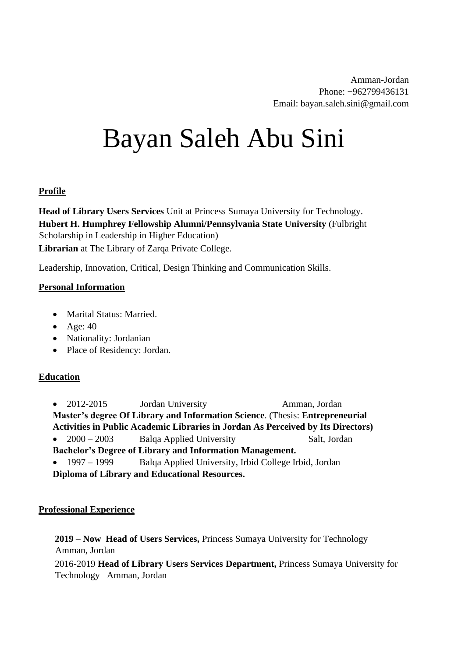Amman-Jordan Phone: +962799436131 Email: bayan.saleh.sini@gmail.com

# Bayan Saleh Abu Sini

#### **Profile**

**Head of Library Users Services** Unit at Princess Sumaya University for Technology. **Hubert H. Humphrey Fellowship Alumni/Pennsylvania State University** (Fulbright Scholarship in Leadership in Higher Education) **Librarian** at The Library of Zarqa Private College.

Leadership, Innovation, Critical, Design Thinking and Communication Skills.

#### **Personal Information**

- Marital Status: Married.
- Age:  $40$
- Nationality: Jordanian
- Place of Residency: Jordan.

#### **Education**

- 2012-2015 Jordan University Amman, Jordan **Master's degree Of Library and Information Science**. (Thesis: **Entrepreneurial Activities in Public Academic Libraries in Jordan As Perceived by Its Directors)**  • 2000 – 2003 Balqa Applied University Salt, Jordan
- **Bachelor's Degree of Library and Information Management.**
- 1997 1999 Balqa Applied University, Irbid College Irbid, Jordan **Diploma of Library and Educational Resources.**

#### **Professional Experience**

**2019 – Now Head of Users Services,** Princess Sumaya University for Technology Amman, Jordan

2016-2019 **Head of Library Users Services Department,** Princess Sumaya University for Technology Amman, Jordan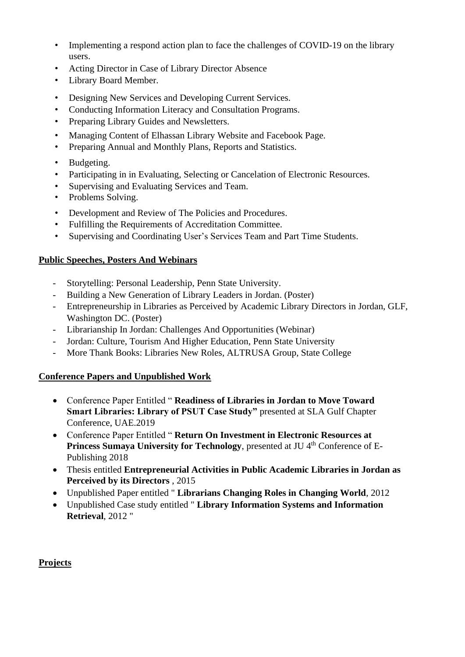- Implementing a respond action plan to face the challenges of COVID-19 on the library users.
- Acting Director in Case of Library Director Absence
- Library Board Member.
- Designing New Services and Developing Current Services.
- Conducting Information Literacy and Consultation Programs.
- Preparing Library Guides and Newsletters.
- Managing Content of Elhassan Library Website and Facebook Page.
- Preparing Annual and Monthly Plans, Reports and Statistics.
- Budgeting.
- Participating in in Evaluating, Selecting or Cancelation of Electronic Resources.
- Supervising and Evaluating Services and Team.
- Problems Solving.
- Development and Review of The Policies and Procedures.
- Fulfilling the Requirements of Accreditation Committee.
- Supervising and Coordinating User's Services Team and Part Time Students.

#### **Public Speeches, Posters And Webinars**

- Storytelling: Personal Leadership, Penn State University.
- Building a New Generation of Library Leaders in Jordan. (Poster)
- Entrepreneurship in Libraries as Perceived by Academic Library Directors in Jordan, GLF, Washington DC. (Poster)
- Librarianship In Jordan: Challenges And Opportunities (Webinar)
- Jordan: Culture, Tourism And Higher Education, Penn State University
- More Thank Books: Libraries New Roles, ALTRUSA Group, State College

#### **Conference Papers and Unpublished Work**

- Conference Paper Entitled " **Readiness of Libraries in Jordan to Move Toward Smart Libraries: Library of PSUT Case Study"** presented at SLA Gulf Chapter Conference, UAE.2019
- Conference Paper Entitled " **Return On Investment in Electronic Resources at Princess Sumaya University for Technology**, presented at JU 4<sup>th</sup> Conference of E-Publishing 2018
- Thesis entitled **Entrepreneurial Activities in Public Academic Libraries in Jordan as Perceived by its Directors** , 2015
- Unpublished Paper entitled " **Librarians Changing Roles in Changing World**, 2012
- Unpublished Case study entitled " **Library Information Systems and Information Retrieval**, 2012 "

#### **Projects**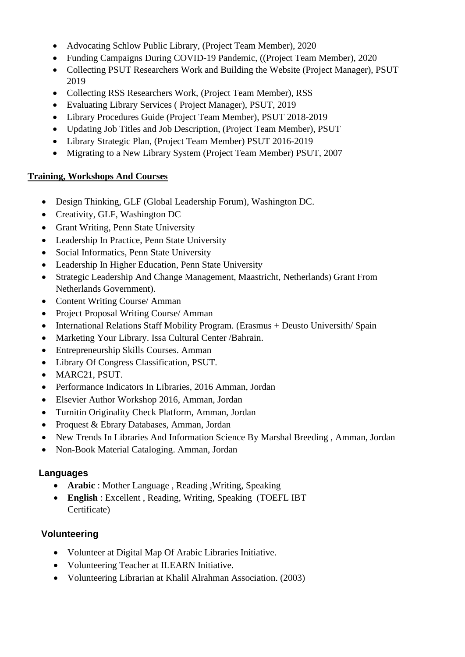- Advocating Schlow Public Library, (Project Team Member), 2020
- Funding Campaigns During COVID-19 Pandemic, ((Project Team Member), 2020
- Collecting PSUT Researchers Work and Building the Website (Project Manager), PSUT 2019
- Collecting RSS Researchers Work, (Project Team Member), RSS
- Evaluating Library Services ( Project Manager), PSUT, 2019
- Library Procedures Guide (Project Team Member), PSUT 2018-2019
- Updating Job Titles and Job Description, (Project Team Member), PSUT
- Library Strategic Plan, (Project Team Member) PSUT 2016-2019
- Migrating to a New Library System (Project Team Member) PSUT, 2007

## **Training, Workshops And Courses**

- Design Thinking, GLF (Global Leadership Forum), Washington DC.
- Creativity, GLF, Washington DC
- Grant Writing, Penn State University
- Leadership In Practice, Penn State University
- Social Informatics, Penn State University
- Leadership In Higher Education, Penn State University
- Strategic Leadership And Change Management, Maastricht, Netherlands) Grant From Netherlands Government).
- Content Writing Course/ Amman
- Project Proposal Writing Course/ Amman
- International Relations Staff Mobility Program. (Erasmus + Deusto Universith/ Spain
- Marketing Your Library. Issa Cultural Center /Bahrain.
- Entrepreneurship Skills Courses. Amman
- Library Of Congress Classification, PSUT.
- MARC21, PSUT.
- Performance Indicators In Libraries, 2016 Amman, Jordan
- Elsevier Author Workshop 2016, Amman, Jordan
- Turnitin Originality Check Platform, Amman, Jordan
- Proquest & Ebrary Databases, Amman, Jordan
- New Trends In Libraries And Information Science By Marshal Breeding , Amman, Jordan
- Non-Book Material Cataloging. Amman, Jordan

## **Languages**

- **Arabic** : Mother Language , Reading ,Writing, Speaking
- **English** : Excellent , Reading, Writing, Speaking (TOEFL IBT Certificate)

## **Volunteering**

- Volunteer at Digital Map Of Arabic Libraries Initiative.
- Volunteering Teacher at ILEARN Initiative.
- Volunteering Librarian at Khalil Alrahman Association. (2003)